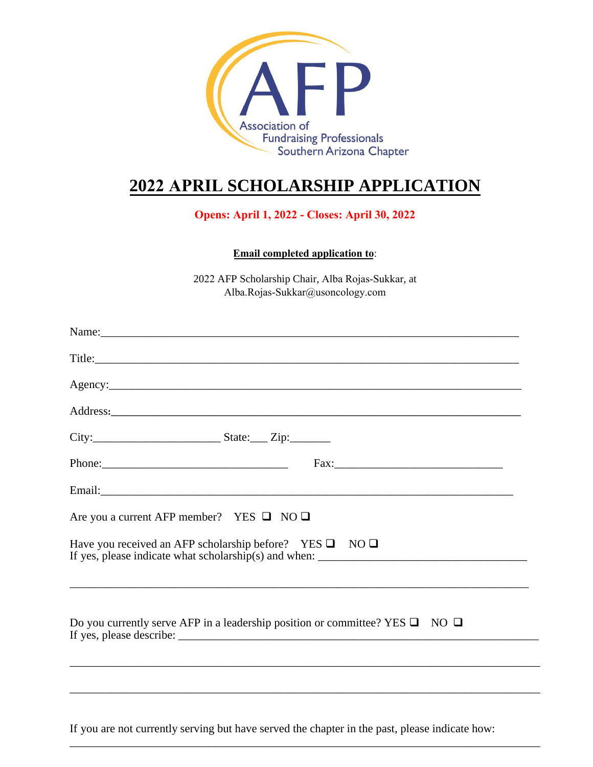

# **2022 APRIL SCHOLARSHIP APPLICATION**

## **Opens: April 1, 2022 - Closes: April 30, 2022**

**Email completed application to**:

2022 AFP Scholarship Chair, Alba Rojas-Sukkar, at Alba.Rojas-Sukkar@usoncology.com

| Title:                                                                                                                                                       |
|--------------------------------------------------------------------------------------------------------------------------------------------------------------|
|                                                                                                                                                              |
|                                                                                                                                                              |
|                                                                                                                                                              |
|                                                                                                                                                              |
|                                                                                                                                                              |
| Are you a current AFP member? YES $\Box$ NO $\Box$                                                                                                           |
| Have you received an AFP scholarship before? YES $\square$ NO $\square$<br>,我们也不能在这里的时候,我们也不能在这里的时候,我们也不能会在这里的时候,我们也不能会在这里的时候,我们也不能会在这里的时候,我们也不能会在这里的时候,我们也不 |
| Do you currently serve AFP in a leadership position or committee? YES $\square$ NO $\square$                                                                 |
|                                                                                                                                                              |
|                                                                                                                                                              |

If you are not currently serving but have served the chapter in the past, please indicate how:

\_\_\_\_\_\_\_\_\_\_\_\_\_\_\_\_\_\_\_\_\_\_\_\_\_\_\_\_\_\_\_\_\_\_\_\_\_\_\_\_\_\_\_\_\_\_\_\_\_\_\_\_\_\_\_\_\_\_\_\_\_\_\_\_\_\_\_\_\_\_\_\_\_\_\_\_\_\_\_\_\_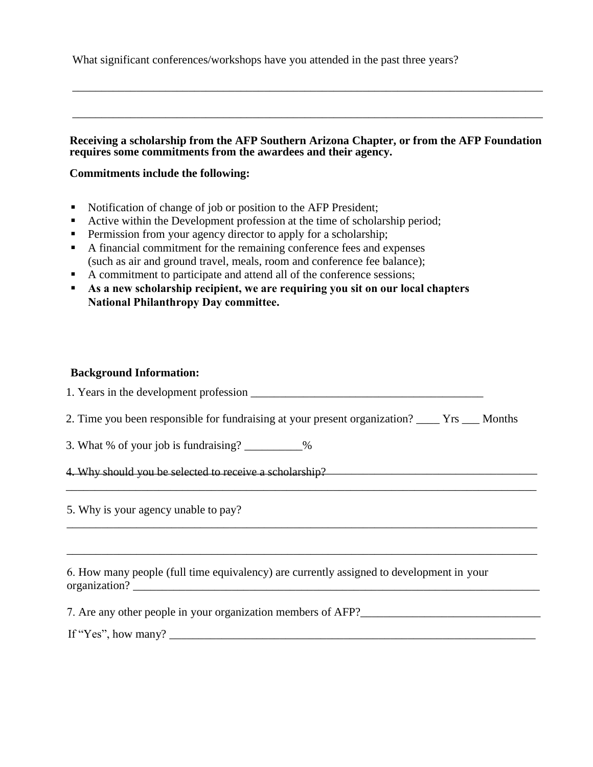What significant conferences/workshops have you attended in the past three years?

### **Receiving a scholarship from the AFP Southern Arizona Chapter, or from the AFP Foundation requires some commitments from the awardees and their agency.**

\_\_\_\_\_\_\_\_\_\_\_\_\_\_\_\_\_\_\_\_\_\_\_\_\_\_\_\_\_\_\_\_\_\_\_\_\_\_\_\_\_\_\_\_\_\_\_\_\_\_\_\_\_\_\_\_\_\_\_\_\_\_\_\_\_\_\_\_\_\_\_\_\_\_\_\_\_\_\_\_\_

\_\_\_\_\_\_\_\_\_\_\_\_\_\_\_\_\_\_\_\_\_\_\_\_\_\_\_\_\_\_\_\_\_\_\_\_\_\_\_\_\_\_\_\_\_\_\_\_\_\_\_\_\_\_\_\_\_\_\_\_\_\_\_\_\_\_\_\_\_\_\_\_\_\_\_\_\_\_\_\_\_

### **Commitments include the following:**

- Notification of change of job or position to the AFP President;
- Active within the Development profession at the time of scholarship period;
- **Permission from your agency director to apply for a scholarship;**
- A financial commitment for the remaining conference fees and expenses (such as air and ground travel, meals, room and conference fee balance);
- A commitment to participate and attend all of the conference sessions;
- **As a new scholarship recipient, we are requiring you sit on our local chapters National Philanthropy Day committee.**

#### **Background Information:**

| 2. Time you been responsible for fundraising at your present organization? _____ Yrs ____ Months |  |
|--------------------------------------------------------------------------------------------------|--|
| 3. What % of your job is fundraising? ___________%                                               |  |
| 4. Why should you be selected to receive a scholarship?                                          |  |
| 5. Why is your agency unable to pay?                                                             |  |
|                                                                                                  |  |
| 6. How many people (full time equivalency) are currently assigned to development in your         |  |
| 7. Are any other people in your organization members of AFP?                                     |  |
|                                                                                                  |  |
|                                                                                                  |  |